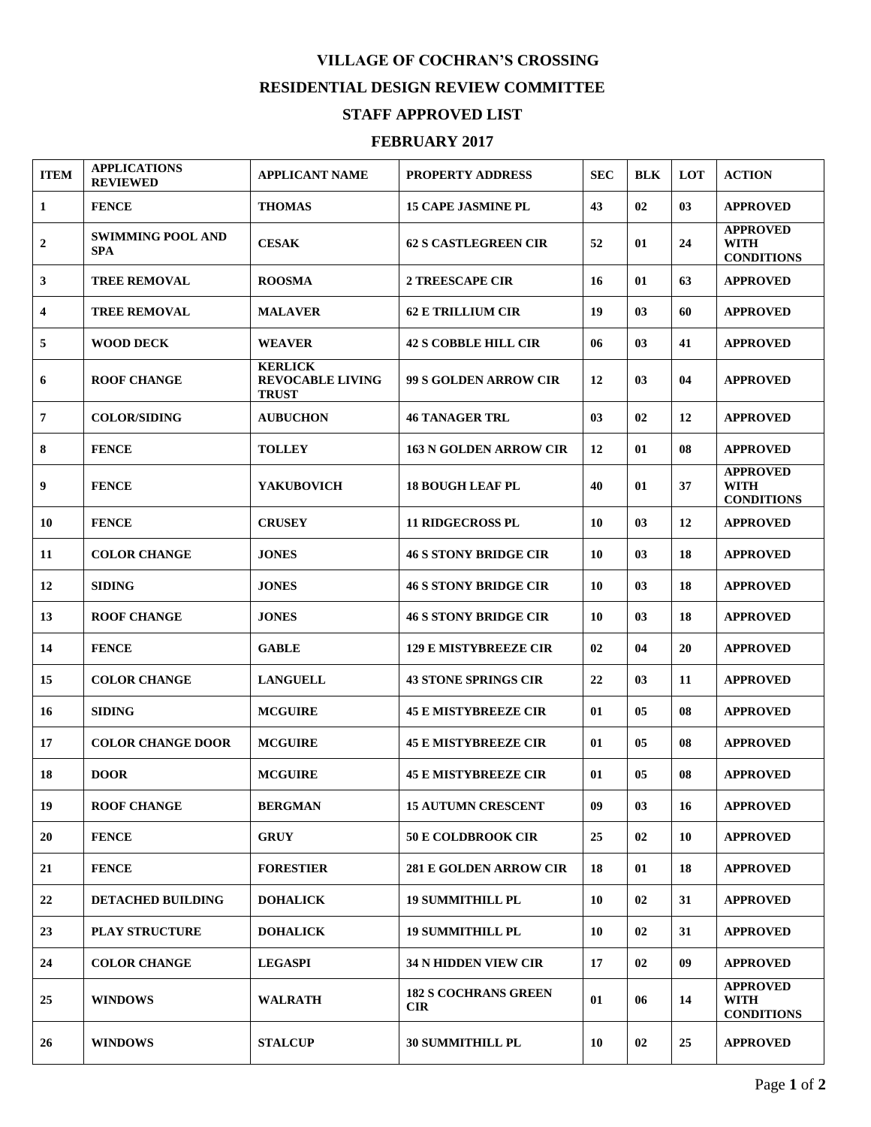## **VILLAGE OF COCHRAN'S CROSSING RESIDENTIAL DESIGN REVIEW COMMITTEE**

## **STAFF APPROVED LIST**

## **FEBRUARY 2017**

| <b>ITEM</b>      | <b>APPLICATIONS</b><br><b>REVIEWED</b> | <b>APPLICANT NAME</b>                                     | <b>PROPERTY ADDRESS</b>                   | <b>SEC</b> | <b>BLK</b> | <b>LOT</b> | <b>ACTION</b>                                       |
|------------------|----------------------------------------|-----------------------------------------------------------|-------------------------------------------|------------|------------|------------|-----------------------------------------------------|
| $\mathbf{1}$     | <b>FENCE</b>                           | <b>THOMAS</b>                                             | <b>15 CAPE JASMINE PL</b>                 | 43         | 02         | 03         | <b>APPROVED</b>                                     |
| $\boldsymbol{2}$ | <b>SWIMMING POOL AND</b><br><b>SPA</b> | <b>CESAK</b>                                              | <b>62 S CASTLEGREEN CIR</b>               | 52         | 01         | 24         | <b>APPROVED</b><br><b>WITH</b><br><b>CONDITIONS</b> |
| 3                | <b>TREE REMOVAL</b>                    | <b>ROOSMA</b>                                             | <b>2 TREESCAPE CIR</b>                    | 16         | 01         | 63         | <b>APPROVED</b>                                     |
| 4                | <b>TREE REMOVAL</b>                    | <b>MALAVER</b>                                            | <b>62 E TRILLIUM CIR</b>                  | 19         | 03         | 60         | <b>APPROVED</b>                                     |
| 5                | <b>WOOD DECK</b>                       | <b>WEAVER</b>                                             | <b>42 S COBBLE HILL CIR</b>               | 06         | 03         | 41         | <b>APPROVED</b>                                     |
| 6                | <b>ROOF CHANGE</b>                     | <b>KERLICK</b><br><b>REVOCABLE LIVING</b><br><b>TRUST</b> | 99 S GOLDEN ARROW CIR                     | 12         | 03         | 04         | <b>APPROVED</b>                                     |
| 7                | <b>COLOR/SIDING</b>                    | <b>AUBUCHON</b>                                           | <b>46 TANAGER TRL</b>                     | 03         | 02         | 12         | <b>APPROVED</b>                                     |
| 8                | <b>FENCE</b>                           | <b>TOLLEY</b>                                             | <b>163 N GOLDEN ARROW CIR</b>             | 12         | 01         | 08         | <b>APPROVED</b>                                     |
| 9                | <b>FENCE</b>                           | <b>YAKUBOVICH</b>                                         | <b>18 BOUGH LEAF PL</b>                   | 40         | 01         | 37         | <b>APPROVED</b><br><b>WITH</b><br><b>CONDITIONS</b> |
| 10               | <b>FENCE</b>                           | <b>CRUSEY</b>                                             | <b>11 RIDGECROSS PL</b>                   | 10         | 03         | 12         | <b>APPROVED</b>                                     |
| 11               | <b>COLOR CHANGE</b>                    | <b>JONES</b>                                              | <b>46 S STONY BRIDGE CIR</b>              | 10         | 03         | 18         | <b>APPROVED</b>                                     |
| 12               | <b>SIDING</b>                          | <b>JONES</b>                                              | <b>46 S STONY BRIDGE CIR</b>              | 10         | 03         | 18         | <b>APPROVED</b>                                     |
| 13               | <b>ROOF CHANGE</b>                     | <b>JONES</b>                                              | <b>46 S STONY BRIDGE CIR</b>              | 10         | 03         | 18         | <b>APPROVED</b>                                     |
| 14               | <b>FENCE</b>                           | <b>GABLE</b>                                              | <b>129 E MISTYBREEZE CIR</b>              | 02         | 04         | 20         | <b>APPROVED</b>                                     |
| 15               | <b>COLOR CHANGE</b>                    | <b>LANGUELL</b>                                           | <b>43 STONE SPRINGS CIR</b>               | 22         | 03         | 11         | <b>APPROVED</b>                                     |
| 16               | <b>SIDING</b>                          | <b>MCGUIRE</b>                                            | <b>45 E MISTYBREEZE CIR</b>               | 01         | 05         | 08         | <b>APPROVED</b>                                     |
| 17               | <b>COLOR CHANGE DOOR</b>               | <b>MCGUIRE</b>                                            | <b>45 E MISTYBREEZE CIR</b>               | 01         | 05         | 08         | <b>APPROVED</b>                                     |
| 18               | <b>DOOR</b>                            | <b>MCGUIRE</b>                                            | <b>45 E MISTYBREEZE CIR</b>               | 01         | 05         | 08         | <b>APPROVED</b>                                     |
| 19               | <b>ROOF CHANGE</b>                     | <b>BERGMAN</b>                                            | <b>15 AUTUMN CRESCENT</b>                 | 09         | 03         | 16         | <b>APPROVED</b>                                     |
| 20               | <b>FENCE</b>                           | <b>GRUY</b>                                               | <b>50 E COLDBROOK CIR</b>                 | 25         | 02         | 10         | <b>APPROVED</b>                                     |
| 21               | <b>FENCE</b>                           | <b>FORESTIER</b>                                          | <b>281 E GOLDEN ARROW CIR</b>             | 18         | 01         | 18         | <b>APPROVED</b>                                     |
| 22               | <b>DETACHED BUILDING</b>               | <b>DOHALICK</b>                                           | <b>19 SUMMITHILL PL</b>                   | 10         | 02         | 31         | <b>APPROVED</b>                                     |
| 23               | <b>PLAY STRUCTURE</b>                  | <b>DOHALICK</b>                                           | <b>19 SUMMITHILL PL</b>                   | 10         | 02         | 31         | <b>APPROVED</b>                                     |
| 24               | <b>COLOR CHANGE</b>                    | <b>LEGASPI</b>                                            | 34 N HIDDEN VIEW CIR                      | 17         | 02         | 09         | <b>APPROVED</b>                                     |
| 25               | <b>WINDOWS</b>                         | <b>WALRATH</b>                                            | <b>182 S COCHRANS GREEN</b><br><b>CIR</b> | 01         | 06         | 14         | <b>APPROVED</b><br><b>WITH</b><br><b>CONDITIONS</b> |
| 26               | <b>WINDOWS</b>                         | <b>STALCUP</b>                                            | 30 SUMMITHILL PL                          | 10         | 02         | 25         | <b>APPROVED</b>                                     |